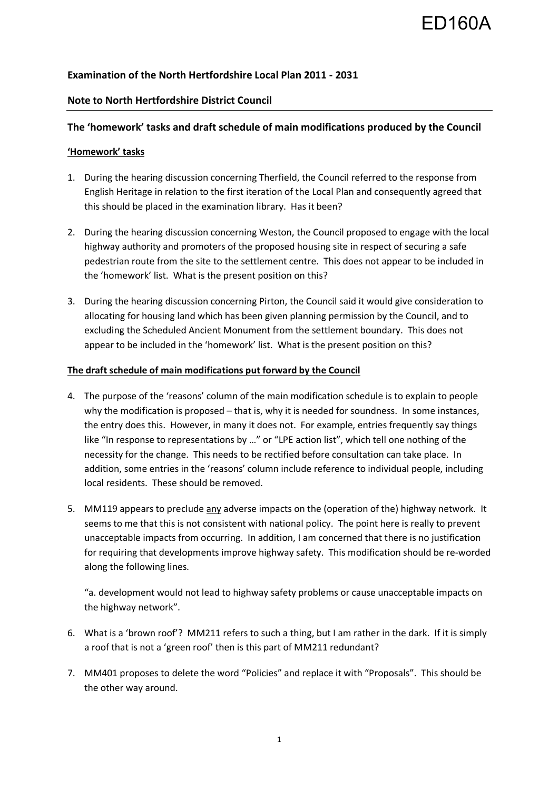# ED160A

## **Examination of the North Hertfordshire Local Plan 2011 - 2031**

## **Note to North Hertfordshire District Council**

## **The 'homework' tasks and draft schedule of main modifications produced by the Council**

### **'Homework' tasks**

- 1. During the hearing discussion concerning Therfield, the Council referred to the response from English Heritage in relation to the first iteration of the Local Plan and consequently agreed that this should be placed in the examination library. Has it been?
- 2. During the hearing discussion concerning Weston, the Council proposed to engage with the local highway authority and promoters of the proposed housing site in respect of securing a safe pedestrian route from the site to the settlement centre. This does not appear to be included in the 'homework' list. What is the present position on this?
- 3. During the hearing discussion concerning Pirton, the Council said it would give consideration to allocating for housing land which has been given planning permission by the Council, and to excluding the Scheduled Ancient Monument from the settlement boundary. This does not appear to be included in the 'homework' list. What is the present position on this?

#### **The draft schedule of main modifications put forward by the Council**

- 4. The purpose of the 'reasons' column of the main modification schedule is to explain to people why the modification is proposed – that is, why it is needed for soundness. In some instances, the entry does this. However, in many it does not. For example, entries frequently say things like "In response to representations by …" or "LPE action list", which tell one nothing of the necessity for the change. This needs to be rectified before consultation can take place. In addition, some entries in the 'reasons' column include reference to individual people, including local residents. These should be removed.
- 5. MM119 appears to preclude any adverse impacts on the (operation of the) highway network. It seems to me that this is not consistent with national policy. The point here is really to prevent unacceptable impacts from occurring. In addition, I am concerned that there is no justification for requiring that developments improve highway safety. This modification should be re-worded along the following lines.

"a. development would not lead to highway safety problems or cause unacceptable impacts on the highway network".

- 6. What is a 'brown roof'? MM211 refers to such a thing, but I am rather in the dark. If it is simply a roof that is not a 'green roof' then is this part of MM211 redundant?
- 7. MM401 proposes to delete the word "Policies" and replace it with "Proposals". This should be the other way around.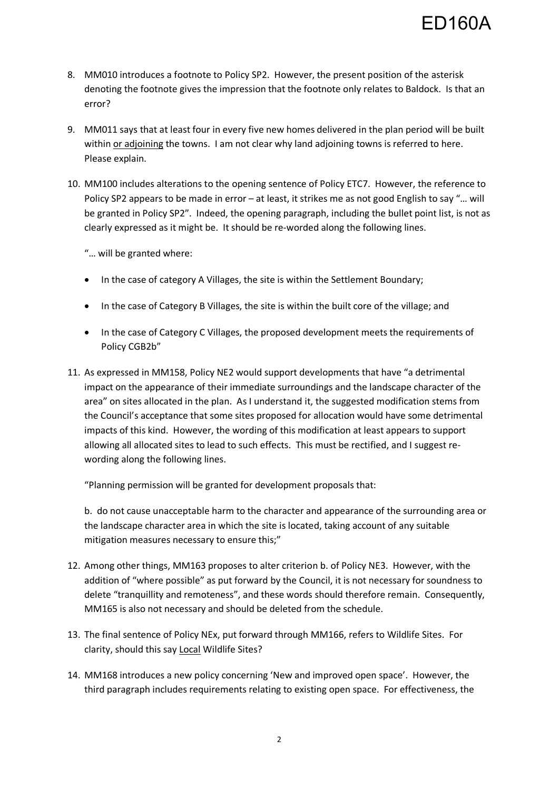- 8. MM010 introduces a footnote to Policy SP2. However, the present position of the asterisk denoting the footnote gives the impression that the footnote only relates to Baldock. Is that an error?
- 9. MM011 says that at least four in every five new homes delivered in the plan period will be built within or adjoining the towns. I am not clear why land adjoining towns is referred to here. Please explain.
- 10. MM100 includes alterations to the opening sentence of Policy ETC7. However, the reference to Policy SP2 appears to be made in error – at least, it strikes me as not good English to say "… will be granted in Policy SP2". Indeed, the opening paragraph, including the bullet point list, is not as clearly expressed as it might be. It should be re-worded along the following lines.

"… will be granted where:

- In the case of category A Villages, the site is within the Settlement Boundary;
- In the case of Category B Villages, the site is within the built core of the village; and
- In the case of Category C Villages, the proposed development meets the requirements of Policy CGB2b"
- 11. As expressed in MM158, Policy NE2 would support developments that have "a detrimental impact on the appearance of their immediate surroundings and the landscape character of the area" on sites allocated in the plan. As I understand it, the suggested modification stems from the Council's acceptance that some sites proposed for allocation would have some detrimental impacts of this kind. However, the wording of this modification at least appears to support allowing all allocated sites to lead to such effects. This must be rectified, and I suggest rewording along the following lines.

"Planning permission will be granted for development proposals that:

b. do not cause unacceptable harm to the character and appearance of the surrounding area or the landscape character area in which the site is located, taking account of any suitable mitigation measures necessary to ensure this;"

- 12. Among other things, MM163 proposes to alter criterion b. of Policy NE3. However, with the addition of "where possible" as put forward by the Council, it is not necessary for soundness to delete "tranquillity and remoteness", and these words should therefore remain. Consequently, MM165 is also not necessary and should be deleted from the schedule.
- 13. The final sentence of Policy NEx, put forward through MM166, refers to Wildlife Sites. For clarity, should this say Local Wildlife Sites?
- 14. MM168 introduces a new policy concerning 'New and improved open space'. However, the third paragraph includes requirements relating to existing open space. For effectiveness, the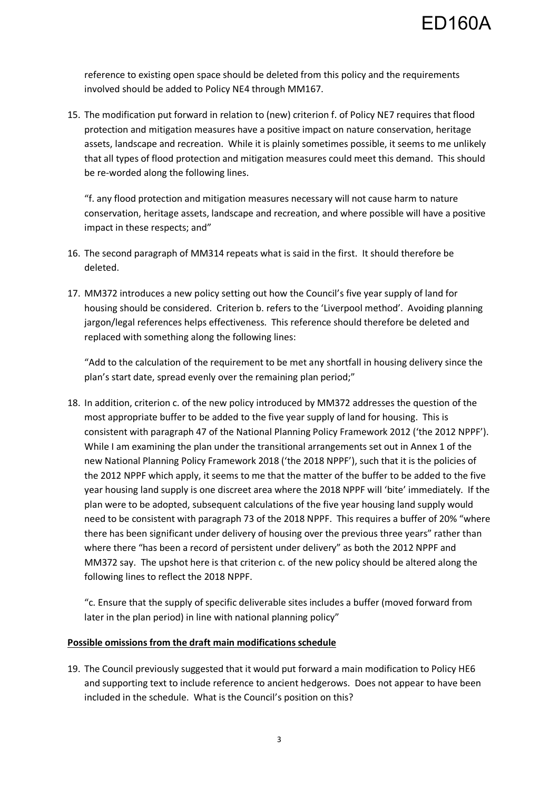reference to existing open space should be deleted from this policy and the requirements involved should be added to Policy NE4 through MM167.

15. The modification put forward in relation to (new) criterion f. of Policy NE7 requires that flood protection and mitigation measures have a positive impact on nature conservation, heritage assets, landscape and recreation. While it is plainly sometimes possible, it seems to me unlikely that all types of flood protection and mitigation measures could meet this demand. This should be re-worded along the following lines.

"f. any flood protection and mitigation measures necessary will not cause harm to nature conservation, heritage assets, landscape and recreation, and where possible will have a positive impact in these respects; and"

- 16. The second paragraph of MM314 repeats what is said in the first. It should therefore be deleted.
- 17. MM372 introduces a new policy setting out how the Council's five year supply of land for housing should be considered. Criterion b. refers to the 'Liverpool method'. Avoiding planning jargon/legal references helps effectiveness. This reference should therefore be deleted and replaced with something along the following lines:

"Add to the calculation of the requirement to be met any shortfall in housing delivery since the plan's start date, spread evenly over the remaining plan period;"

18. In addition, criterion c. of the new policy introduced by MM372 addresses the question of the most appropriate buffer to be added to the five year supply of land for housing. This is consistent with paragraph 47 of the National Planning Policy Framework 2012 ('the 2012 NPPF'). While I am examining the plan under the transitional arrangements set out in Annex 1 of the new National Planning Policy Framework 2018 ('the 2018 NPPF'), such that it is the policies of the 2012 NPPF which apply, it seems to me that the matter of the buffer to be added to the five year housing land supply is one discreet area where the 2018 NPPF will 'bite' immediately. If the plan were to be adopted, subsequent calculations of the five year housing land supply would need to be consistent with paragraph 73 of the 2018 NPPF. This requires a buffer of 20% "where there has been significant under delivery of housing over the previous three years" rather than where there "has been a record of persistent under delivery" as both the 2012 NPPF and MM372 say. The upshot here is that criterion c. of the new policy should be altered along the following lines to reflect the 2018 NPPF.

"c. Ensure that the supply of specific deliverable sites includes a buffer (moved forward from later in the plan period) in line with national planning policy"

#### **Possible omissions from the draft main modifications schedule**

19. The Council previously suggested that it would put forward a main modification to Policy HE6 and supporting text to include reference to ancient hedgerows. Does not appear to have been included in the schedule. What is the Council's position on this?